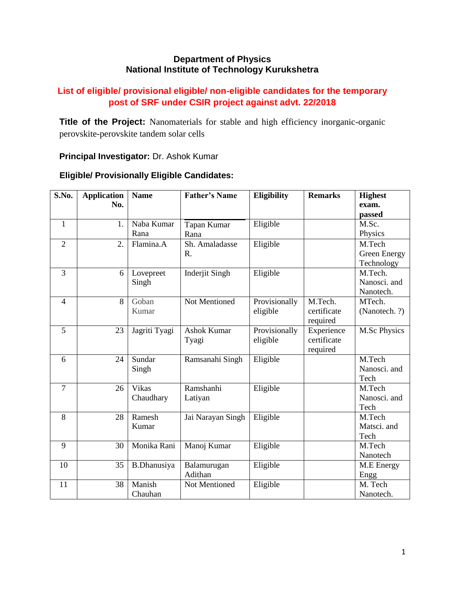## **Department of Physics National Institute of Technology Kurukshetra**

# **List of eligible/ provisional eligible/ non-eligible candidates for the temporary post of SRF under CSIR project against advt. 22/2018**

**Title of the Project:** Nanomaterials for stable and high efficiency inorganic-organic perovskite-perovskite tandem solar cells

## **Principal Investigator:** Dr. Ashok Kumar

#### **S.No. Application No. Father's Name Eligibility Remarks Highest** 1 1. Naba Kumar Rana Tapan Kumar Rana 2 | 2. Flamina.A Sh. Amaladasse R. 3 6 Lovepreet

# **Eligible/ Provisionally Eligible Candidates:**

|                | No. |                    |                       |               |             | exam.         |
|----------------|-----|--------------------|-----------------------|---------------|-------------|---------------|
|                |     |                    |                       |               |             | passed        |
| $\mathbf{1}$   | 1.  | Naba Kumar         | Tapan Kumar           | Eligible      |             | M.Sc.         |
|                |     | Rana               | Rana                  |               |             | Physics       |
| $\overline{2}$ | 2.  | Flamina.A          | Sh. Amaladasse        | Eligible      |             | M.Tech        |
|                |     |                    | R.                    |               |             | Green Energy  |
|                |     |                    |                       |               |             | Technology    |
| 3              | 6   | Lovepreet          | <b>Inderjit Singh</b> | Eligible      |             | M.Tech.       |
|                |     | Singh              |                       |               |             | Nanosci. and  |
|                |     |                    |                       |               |             | Nanotech.     |
| $\overline{4}$ | 8   | Goban              | <b>Not Mentioned</b>  | Provisionally | M.Tech.     | MTech.        |
|                |     | Kumar              |                       | eligible      | certificate | (Nanotech. ?) |
|                |     |                    |                       |               | required    |               |
| 5              | 23  | Jagriti Tyagi      | <b>Ashok Kumar</b>    | Provisionally | Experience  | M.Sc Physics  |
|                |     |                    | Tyagi                 | eligible      | certificate |               |
|                |     |                    |                       |               | required    |               |
| 6              | 24  | Sundar             | Ramsanahi Singh       | Eligible      |             | M.Tech        |
|                |     | Singh              |                       |               |             | Nanosci. and  |
|                |     |                    |                       |               |             | Tech          |
| $\overline{7}$ | 26  | Vikas              | Ramshanhi             | Eligible      |             | M.Tech        |
|                |     | Chaudhary          | Latiyan               |               |             | Nanosci. and  |
|                |     |                    |                       |               |             | Tech          |
| 8              | 28  | Ramesh             | Jai Narayan Singh     | Eligible      |             | M.Tech        |
|                |     | Kumar              |                       |               |             | Matsci. and   |
|                |     |                    |                       |               |             | Tech          |
| 9              | 30  | Monika Rani        | Manoj Kumar           | Eligible      |             | M.Tech        |
|                |     |                    |                       |               |             | Nanotech      |
| 10             | 35  | <b>B.Dhanusiya</b> | Balamurugan           | Eligible      |             | M.E Energy    |
|                |     |                    | Adithan               |               |             | Engg          |
| 11             | 38  | Manish             | Not Mentioned         | Eligible      |             | M. Tech       |
|                |     | Chauhan            |                       |               |             | Nanotech.     |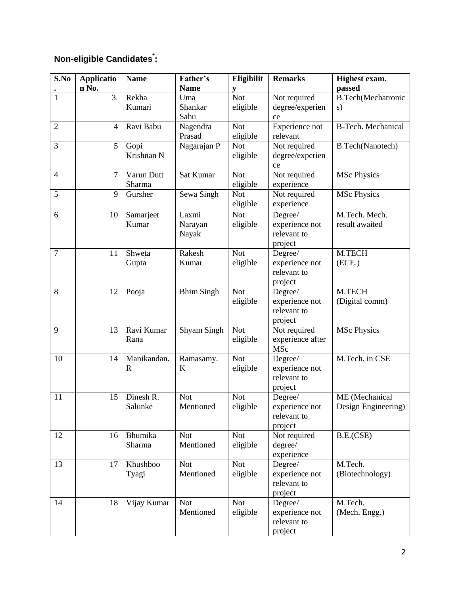# **Non-eligible Candidates\* :**

| S.No           | <b>Applicatio</b> | <b>Name</b>        | Father's          | Eligibilit             | <b>Remarks</b>                | Highest exam.                   |
|----------------|-------------------|--------------------|-------------------|------------------------|-------------------------------|---------------------------------|
|                | n No.             |                    | <b>Name</b>       | V                      |                               | passed                          |
| 1              | 3.                | Rekha              | Uma               | <b>Not</b>             | Not required                  | <b>B.Tech(Mechatronic</b>       |
|                |                   | Kumari             | Shankar           | eligible               | degree/experien               | s)                              |
|                |                   |                    | Sahu              |                        | ce                            |                                 |
| $\overline{2}$ | $\overline{4}$    | Ravi Babu          | Nagendra          | <b>Not</b>             | Experience not                | <b>B-Tech. Mechanical</b>       |
|                |                   |                    | Prasad            | eligible               | relevant                      |                                 |
| 3              | 5                 | Gopi               | Nagarajan P       | <b>Not</b>             | Not required                  | <b>B.Tech(Nanotech)</b>         |
|                |                   | Krishnan N         |                   | eligible               | degree/experien               |                                 |
|                |                   |                    |                   |                        | ce                            |                                 |
| $\overline{4}$ | 7                 | Varun Dutt         | Sat Kumar         | <b>Not</b>             | Not required                  | <b>MSc Physics</b>              |
| $\overline{5}$ | 9                 | Sharma<br>Gursher  | Sewa Singh        | eligible<br><b>Not</b> | experience<br>Not required    | <b>MSc Physics</b>              |
|                |                   |                    |                   | eligible               | experience                    |                                 |
|                |                   |                    |                   |                        |                               |                                 |
| 6              | 10                | Samarjeet<br>Kumar | Laxmi             | <b>Not</b>             | Degree/<br>experience not     | M.Tech. Mech.<br>result awaited |
|                |                   |                    | Narayan<br>Nayak  | eligible               | relevant to                   |                                 |
|                |                   |                    |                   |                        | project                       |                                 |
| $\overline{7}$ | 11                | Shweta             | Rakesh            | <b>Not</b>             | Degree/                       | M.TECH                          |
|                |                   | Gupta              | Kumar             | eligible               | experience not                | (ECE.)                          |
|                |                   |                    |                   |                        | relevant to                   |                                 |
|                |                   |                    |                   |                        | project                       |                                 |
| 8              | 12                | Pooja              | <b>Bhim Singh</b> | <b>Not</b>             | Degree/                       | M.TECH                          |
|                |                   |                    |                   | eligible               | experience not                | (Digital comm)                  |
|                |                   |                    |                   |                        | relevant to                   |                                 |
|                |                   |                    |                   |                        | project                       |                                 |
| 9              | 13                | Ravi Kumar         | Shyam Singh       | <b>Not</b>             | Not required                  | <b>MSc Physics</b>              |
|                |                   | Rana               |                   | eligible               | experience after              |                                 |
|                |                   |                    |                   |                        | MSc                           |                                 |
| 10             | 14                | Manikandan.        | Ramasamy.         | <b>Not</b>             | Degree/                       | M.Tech. in CSE                  |
|                |                   | $\mathbf R$        | K                 | eligible               | experience not<br>relevant to |                                 |
|                |                   |                    |                   |                        | project                       |                                 |
| 11             | 15                | Dinesh R.          | <b>Not</b>        | <b>Not</b>             | Degree/                       | ME (Mechanical                  |
|                |                   | Salunke            | Mentioned         | eligible               | experience not                | Design Engineering)             |
|                |                   |                    |                   |                        | relevant to                   |                                 |
|                |                   |                    |                   |                        | project                       |                                 |
| 12             | 16                | Bhumika            | <b>Not</b>        | <b>Not</b>             | Not required                  | B.E.(CSE)                       |
|                |                   | Sharma             | Mentioned         | eligible               | degree/                       |                                 |
|                |                   |                    |                   |                        | experience                    |                                 |
| 13             | 17                | Khushboo           | <b>Not</b>        | <b>Not</b>             | Degree/                       | M.Tech.                         |
|                |                   | Tyagi              | Mentioned         | eligible               | experience not                | (Biotechnology)                 |
|                |                   |                    |                   |                        | relevant to                   |                                 |
|                |                   |                    |                   |                        | project                       |                                 |
| 14             | 18                | Vijay Kumar        | <b>Not</b>        | <b>Not</b>             | Degree/                       | M.Tech.                         |
|                |                   |                    | Mentioned         | eligible               | experience not                | (Mech. Engg.)                   |
|                |                   |                    |                   |                        | relevant to                   |                                 |
|                |                   |                    |                   |                        | project                       |                                 |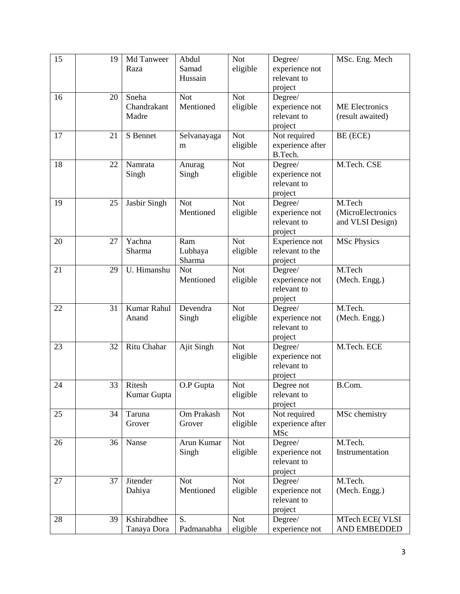| 15 | 19 | Md Tanweer<br>Raza            | Abdul<br>Samad<br>Hussain | <b>Not</b><br>eligible | Degree/<br>experience not<br>relevant to            | MSc. Eng. Mech                                  |
|----|----|-------------------------------|---------------------------|------------------------|-----------------------------------------------------|-------------------------------------------------|
|    |    |                               |                           |                        | project                                             |                                                 |
| 16 | 20 | Sneha<br>Chandrakant<br>Madre | <b>Not</b><br>Mentioned   | <b>Not</b><br>eligible | Degree/<br>experience not<br>relevant to<br>project | <b>ME</b> Electronics<br>(result awaited)       |
| 17 | 21 | S Bennet                      | Selvanayaga<br>m          | <b>Not</b><br>eligible | Not required<br>experience after<br>B.Tech.         | BE (ECE)                                        |
| 18 | 22 | Namrata<br>Singh              | Anurag<br>Singh           | <b>Not</b><br>eligible | Degree/<br>experience not<br>relevant to<br>project | M.Tech. CSE                                     |
| 19 | 25 | Jasbir Singh                  | <b>Not</b><br>Mentioned   | <b>Not</b><br>eligible | Degree/<br>experience not<br>relevant to<br>project | M.Tech<br>(MicroElectronics<br>and VLSI Design) |
| 20 | 27 | Yachna<br>Sharma              | Ram<br>Lubhaya<br>Sharma  | <b>Not</b><br>eligible | Experience not<br>relevant to the<br>project        | <b>MSc Physics</b>                              |
| 21 | 29 | U. Himanshu                   | <b>Not</b><br>Mentioned   | <b>Not</b><br>eligible | Degree/<br>experience not<br>relevant to<br>project | M.Tech<br>(Mech. Engg.)                         |
| 22 | 31 | Kumar Rahul<br>Anand          | Devendra<br>Singh         | <b>Not</b><br>eligible | Degree/<br>experience not<br>relevant to<br>project | M.Tech.<br>(Mech. Engg.)                        |
| 23 | 32 | Ritu Chahar                   | Ajit Singh                | <b>Not</b><br>eligible | Degree/<br>experience not<br>relevant to<br>project | M.Tech. ECE                                     |
| 24 | 33 | Ritesh<br>Kumar Gupta         | O.P Gupta                 | <b>Not</b><br>eligible | Degree not<br>relevant to<br>project                | B.Com.                                          |
| 25 | 34 | Taruna<br>Grover              | Om Prakash<br>Grover      | <b>Not</b><br>eligible | Not required<br>experience after<br>MSc             | MSc chemistry                                   |
| 26 | 36 | Nanse                         | Arun Kumar<br>Singh       | <b>Not</b><br>eligible | Degree/<br>experience not<br>relevant to<br>project | M.Tech.<br>Instrumentation                      |
| 27 | 37 | Jitender<br>Dahiya            | <b>Not</b><br>Mentioned   | <b>Not</b><br>eligible | Degree/<br>experience not<br>relevant to<br>project | M.Tech.<br>(Mech. Engg.)                        |
| 28 | 39 | Kshirabdhee<br>Tanaya Dora    | S.<br>Padmanabha          | <b>Not</b><br>eligible | Degree/<br>experience not                           | MTech ECE(VLSI<br>AND EMBEDDED                  |